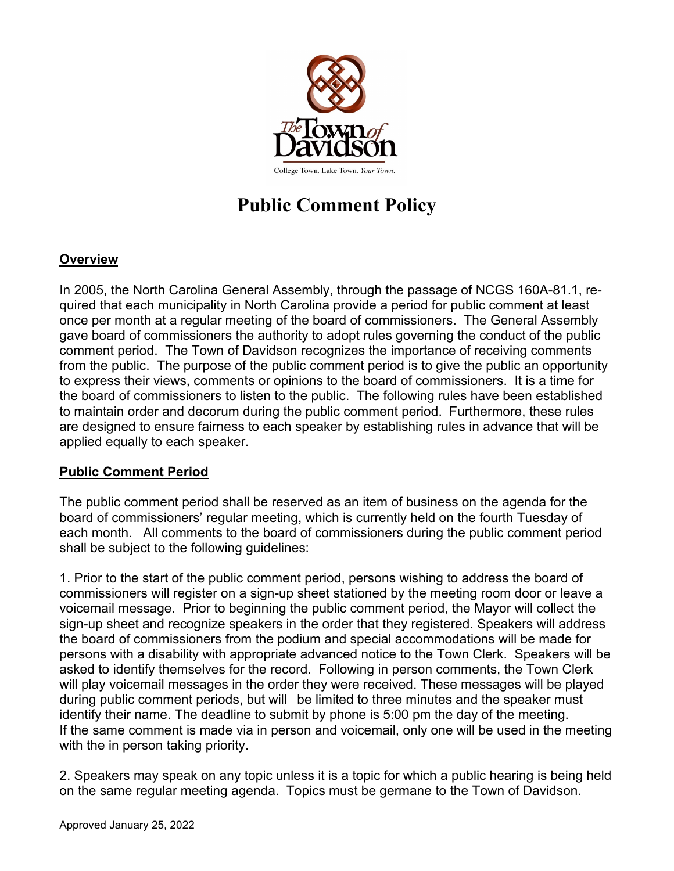

## **Public Comment Policy**

## **Overview**

In 2005, the North Carolina General Assembly, through the passage of NCGS 160A-81.1, required that each municipality in North Carolina provide a period for public comment at least once per month at a regular meeting of the board of commissioners. The General Assembly gave board of commissioners the authority to adopt rules governing the conduct of the public comment period. The Town of Davidson recognizes the importance of receiving comments from the public. The purpose of the public comment period is to give the public an opportunity to express their views, comments or opinions to the board of commissioners. It is a time for the board of commissioners to listen to the public. The following rules have been established to maintain order and decorum during the public comment period. Furthermore, these rules are designed to ensure fairness to each speaker by establishing rules in advance that will be applied equally to each speaker.

## **Public Comment Period**

The public comment period shall be reserved as an item of business on the agenda for the board of commissioners' regular meeting, which is currently held on the fourth Tuesday of each month. All comments to the board of commissioners during the public comment period shall be subject to the following guidelines:

1. Prior to the start of the public comment period, persons wishing to address the board of commissioners will register on a sign-up sheet stationed by the meeting room door or leave a voicemail message. Prior to beginning the public comment period, the Mayor will collect the sign-up sheet and recognize speakers in the order that they registered. Speakers will address the board of commissioners from the podium and special accommodations will be made for persons with a disability with appropriate advanced notice to the Town Clerk. Speakers will be asked to identify themselves for the record. Following in person comments, the Town Clerk will play voicemail messages in the order they were received. These messages will be played during public comment periods, but will be limited to three minutes and the speaker must identify their name. The deadline to submit by phone is 5:00 pm the day of the meeting. If the same comment is made via in person and voicemail, only one will be used in the meeting with the in person taking priority.

2. Speakers may speak on any topic unless it is a topic for which a public hearing is being held on the same regular meeting agenda. Topics must be germane to the Town of Davidson.